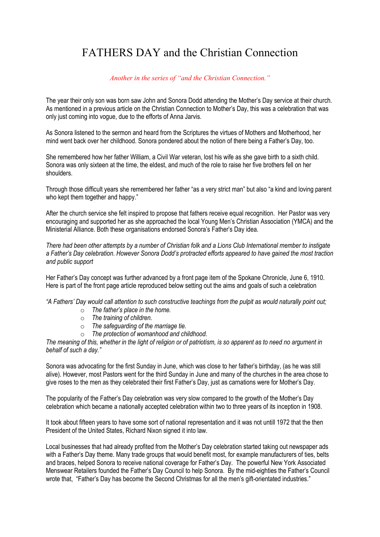## FATHERS DAY and the Christian Connection

*Another in the series of "and the Christian Connection."*

The year their only son was born saw John and Sonora Dodd attending the Mother's Day service at their church. As mentioned in a previous article on the Christian Connection to Mother's Day, this was a celebration that was only just coming into vogue, due to the efforts of Anna Jarvis.

As Sonora listened to the sermon and heard from the Scriptures the virtues of Mothers and Motherhood, her mind went back over her childhood. Sonora pondered about the notion of there being a Father's Day, too.

She remembered how her father William, a Civil War veteran, lost his wife as she gave birth to a sixth child. Sonora was only sixteen at the time, the eldest, and much of the role to raise her five brothers fell on her shoulders.

Through those difficult years she remembered her father "as a very strict man" but also "a kind and loving parent who kept them together and happy."

After the church service she felt inspired to propose that fathers receive equal recognition. Her Pastor was very encouraging and supported her as she approached the local Young Men's Christian Association (YMCA) and the Ministerial Alliance. Both these organisations endorsed Sonora's Father's Day idea.

*There had been other attempts by a number of Christian folk and a Lions Club International member to instigate a Father's Day celebration. However Sonora Dodd's protracted efforts appeared to have gained the most traction and public support*

Her Father's Day concept was further advanced by a front page item of the Spokane Chronicle, June 6, 1910. Here is part of the front page article reproduced below setting out the aims and goals of such a celebration

*"A Fathers' Day would call attention to such constructive teachings from the pulpit as would naturally point out;*

- o *The father's place in the home.*
- o *The training of children.*
- o *The safeguarding of the marriage tie.*
- o *The protection of womanhood and childhood.*

*The meaning of this, whether in the light of religion or of patriotism, is so apparent as to need no argument in behalf of such a day."*

Sonora was advocating for the first Sunday in June, which was close to her father's birthday, (as he was still alive). However, most Pastors went for the third Sunday in June and many of the churches in the area chose to give roses to the men as they celebrated their first Father's Day, just as carnations were for Mother's Day.

The popularity of the Father's Day celebration was very slow compared to the growth of the Mother's Day celebration which became a nationally accepted celebration within two to three years of its inception in 1908.

It took about fifteen years to have some sort of national representation and it was not untill 1972 that the then President of the United States, Richard Nixon signed it into law.

Local businesses that had already profited from the Mother's Day celebration started taking out newspaper ads with a Father's Day theme. Many trade groups that would benefit most, for example manufacturers of ties, belts and braces, helped Sonora to receive national coverage for Father's Day. The powerful New York Associated Menswear Retailers founded the Father's Day Council to help Sonora. By the mid-eighties the Father's Council wrote that, "Father's Day has become the Second Christmas for all the men's gift-orientated industries."